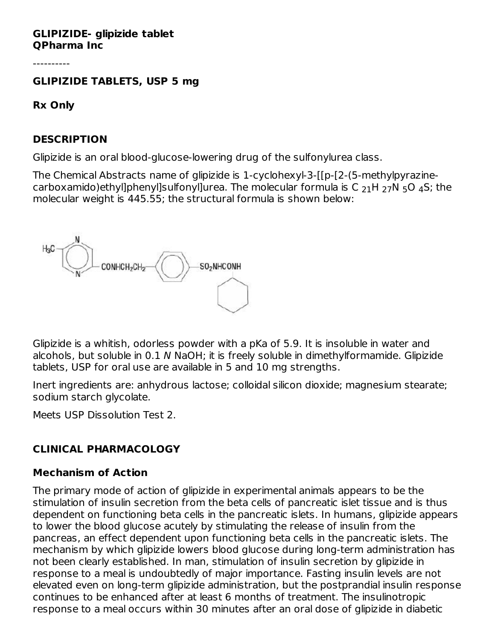#### **GLIPIZIDE- glipizide tablet QPharma Inc**

----------

#### **GLIPIZIDE TABLETS, USP 5 mg**

#### **Rx Only**

#### **DESCRIPTION**

Glipizide is an oral blood-glucose-lowering drug of the sulfonylurea class.

The Chemical Abstracts name of glipizide is 1-cyclohexyl-3-[[p-[2-(5-methylpyrazinecarboxamido)ethyl]phenyl]sulfonyl]urea. The molecular formula is C  $_{21}$ H  $_{27}$ N  $_{5}$ O  $_{4}$ S; the molecular weight is 445.55; the structural formula is shown below:



Glipizide is a whitish, odorless powder with a pKa of 5.9. It is insoluble in water and alcohols, but soluble in 0.1 N NaOH; it is freely soluble in dimethylformamide. Glipizide tablets, USP for oral use are available in 5 and 10 mg strengths.

Inert ingredients are: anhydrous lactose; colloidal silicon dioxide; magnesium stearate; sodium starch glycolate.

Meets USP Dissolution Test 2.

### **CLINICAL PHARMACOLOGY**

#### **Mechanism of Action**

The primary mode of action of glipizide in experimental animals appears to be the stimulation of insulin secretion from the beta cells of pancreatic islet tissue and is thus dependent on functioning beta cells in the pancreatic islets. In humans, glipizide appears to lower the blood glucose acutely by stimulating the release of insulin from the pancreas, an effect dependent upon functioning beta cells in the pancreatic islets. The mechanism by which glipizide lowers blood glucose during long-term administration has not been clearly established. In man, stimulation of insulin secretion by glipizide in response to a meal is undoubtedly of major importance. Fasting insulin levels are not elevated even on long-term glipizide administration, but the postprandial insulin response continues to be enhanced after at least 6 months of treatment. The insulinotropic response to a meal occurs within 30 minutes after an oral dose of glipizide in diabetic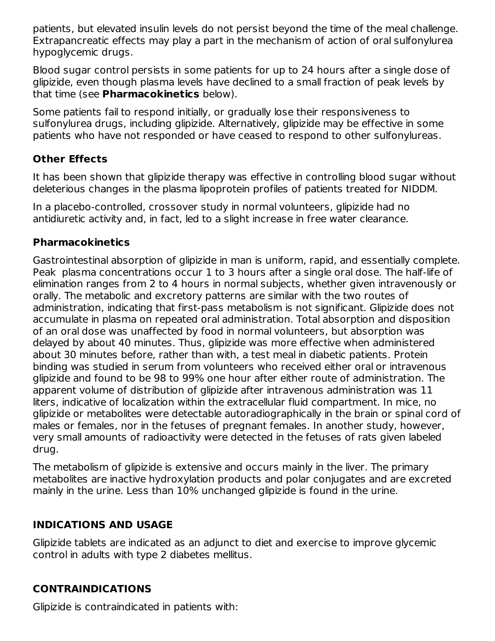patients, but elevated insulin levels do not persist beyond the time of the meal challenge. Extrapancreatic effects may play a part in the mechanism of action of oral sulfonylurea hypoglycemic drugs.

Blood sugar control persists in some patients for up to 24 hours after a single dose of glipizide, even though plasma levels have declined to a small fraction of peak levels by that time (see **Pharmacokinetics** below).

Some patients fail to respond initially, or gradually lose their responsiveness to sulfonylurea drugs, including glipizide. Alternatively, glipizide may be effective in some patients who have not responded or have ceased to respond to other sulfonylureas.

## **Other Effects**

It has been shown that glipizide therapy was effective in controlling blood sugar without deleterious changes in the plasma lipoprotein profiles of patients treated for NIDDM.

In a placebo-controlled, crossover study in normal volunteers, glipizide had no antidiuretic activity and, in fact, led to a slight increase in free water clearance.

## **Pharmacokinetics**

Gastrointestinal absorption of glipizide in man is uniform, rapid, and essentially complete. Peak plasma concentrations occur 1 to 3 hours after a single oral dose. The half-life of elimination ranges from 2 to 4 hours in normal subjects, whether given intravenously or orally. The metabolic and excretory patterns are similar with the two routes of administration, indicating that first-pass metabolism is not significant. Glipizide does not accumulate in plasma on repeated oral administration. Total absorption and disposition of an oral dose was unaffected by food in normal volunteers, but absorption was delayed by about 40 minutes. Thus, glipizide was more effective when administered about 30 minutes before, rather than with, a test meal in diabetic patients. Protein binding was studied in serum from volunteers who received either oral or intravenous glipizide and found to be 98 to 99% one hour after either route of administration. The apparent volume of distribution of glipizide after intravenous administration was 11 liters, indicative of localization within the extracellular fluid compartment. In mice, no glipizide or metabolites were detectable autoradiographically in the brain or spinal cord of males or females, nor in the fetuses of pregnant females. In another study, however, very small amounts of radioactivity were detected in the fetuses of rats given labeled drug.

The metabolism of glipizide is extensive and occurs mainly in the liver. The primary metabolites are inactive hydroxylation products and polar conjugates and are excreted mainly in the urine. Less than 10% unchanged glipizide is found in the urine.

## **INDICATIONS AND USAGE**

Glipizide tablets are indicated as an adjunct to diet and exercise to improve glycemic control in adults with type 2 diabetes mellitus.

# **CONTRAINDICATIONS**

Glipizide is contraindicated in patients with: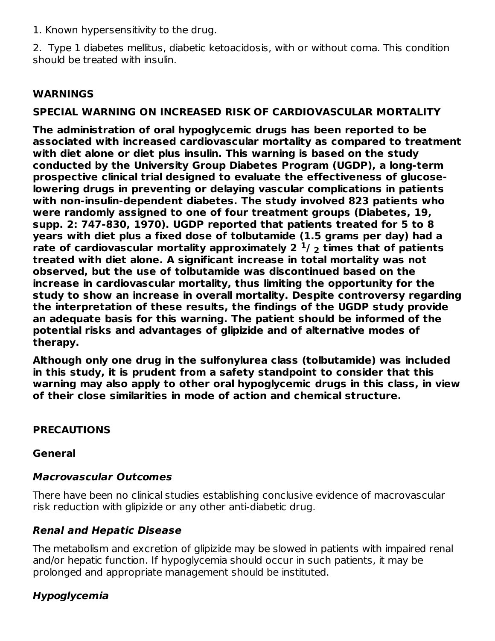1. Known hypersensitivity to the drug.

2. Type 1 diabetes mellitus, diabetic ketoacidosis, with or without coma. This condition should be treated with insulin.

#### **WARNINGS**

#### **SPECIAL WARNING ON INCREASED RISK OF CARDIOVASCULAR MORTALITY**

**The administration of oral hypoglycemic drugs has been reported to be associated with increased cardiovascular mortality as compared to treatment with diet alone or diet plus insulin. This warning is based on the study conducted by the University Group Diabetes Program (UGDP), a long-term prospective clinical trial designed to evaluate the effectiveness of glucoselowering drugs in preventing or delaying vascular complications in patients with non-insulin-dependent diabetes. The study involved 823 patients who were randomly assigned to one of four treatment groups (Diabetes, 19, supp. 2: 747-830, 1970). UGDP reported that patients treated for 5 to 8 years with diet plus a fixed dose of tolbutamide (1.5 grams per day) had a rate of cardiovascular mortality approximately 2 / times that of patients 1 2treated with diet alone. A significant increase in total mortality was not observed, but the use of tolbutamide was discontinued based on the increase in cardiovascular mortality, thus limiting the opportunity for the study to show an increase in overall mortality. Despite controversy regarding the interpretation of these results, the findings of the UGDP study provide an adequate basis for this warning. The patient should be informed of the potential risks and advantages of glipizide and of alternative modes of therapy.**

**Although only one drug in the sulfonylurea class (tolbutamide) was included in this study, it is prudent from a safety standpoint to consider that this warning may also apply to other oral hypoglycemic drugs in this class, in view of their close similarities in mode of action and chemical structure.**

### **PRECAUTIONS**

### **General**

### **Macrovascular Outcomes**

There have been no clinical studies establishing conclusive evidence of macrovascular risk reduction with glipizide or any other anti-diabetic drug.

### **Renal and Hepatic Disease**

The metabolism and excretion of glipizide may be slowed in patients with impaired renal and/or hepatic function. If hypoglycemia should occur in such patients, it may be prolonged and appropriate management should be instituted.

## **Hypoglycemia**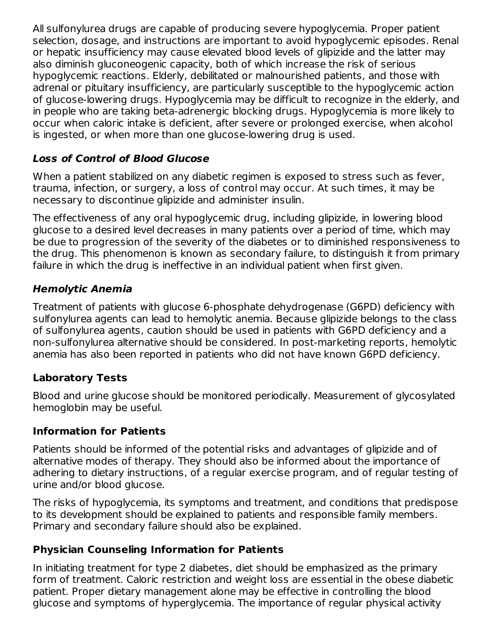All sulfonylurea drugs are capable of producing severe hypoglycemia. Proper patient selection, dosage, and instructions are important to avoid hypoglycemic episodes. Renal or hepatic insufficiency may cause elevated blood levels of glipizide and the latter may also diminish gluconeogenic capacity, both of which increase the risk of serious hypoglycemic reactions. Elderly, debilitated or malnourished patients, and those with adrenal or pituitary insufficiency, are particularly susceptible to the hypoglycemic action of glucose-lowering drugs. Hypoglycemia may be difficult to recognize in the elderly, and in people who are taking beta-adrenergic blocking drugs. Hypoglycemia is more likely to occur when caloric intake is deficient, after severe or prolonged exercise, when alcohol is ingested, or when more than one glucose-lowering drug is used.

## **Loss of Control of Blood Glucose**

When a patient stabilized on any diabetic regimen is exposed to stress such as fever, trauma, infection, or surgery, a loss of control may occur. At such times, it may be necessary to discontinue glipizide and administer insulin.

The effectiveness of any oral hypoglycemic drug, including glipizide, in lowering blood glucose to a desired level decreases in many patients over a period of time, which may be due to progression of the severity of the diabetes or to diminished responsiveness to the drug. This phenomenon is known as secondary failure, to distinguish it from primary failure in which the drug is ineffective in an individual patient when first given.

## **Hemolytic Anemia**

Treatment of patients with glucose 6-phosphate dehydrogenase (G6PD) deficiency with sulfonylurea agents can lead to hemolytic anemia. Because glipizide belongs to the class of sulfonylurea agents, caution should be used in patients with G6PD deficiency and a non-sulfonylurea alternative should be considered. In post-marketing reports, hemolytic anemia has also been reported in patients who did not have known G6PD deficiency.

## **Laboratory Tests**

Blood and urine glucose should be monitored periodically. Measurement of glycosylated hemoglobin may be useful.

## **Information for Patients**

Patients should be informed of the potential risks and advantages of glipizide and of alternative modes of therapy. They should also be informed about the importance of adhering to dietary instructions, of a regular exercise program, and of regular testing of urine and/or blood glucose.

The risks of hypoglycemia, its symptoms and treatment, and conditions that predispose to its development should be explained to patients and responsible family members. Primary and secondary failure should also be explained.

## **Physician Counseling Information for Patients**

In initiating treatment for type 2 diabetes, diet should be emphasized as the primary form of treatment. Caloric restriction and weight loss are essential in the obese diabetic patient. Proper dietary management alone may be effective in controlling the blood glucose and symptoms of hyperglycemia. The importance of regular physical activity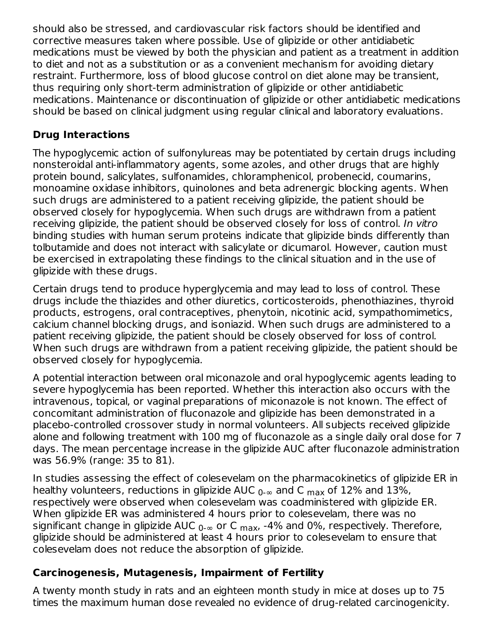should also be stressed, and cardiovascular risk factors should be identified and corrective measures taken where possible. Use of glipizide or other antidiabetic medications must be viewed by both the physician and patient as a treatment in addition to diet and not as a substitution or as a convenient mechanism for avoiding dietary restraint. Furthermore, loss of blood glucose control on diet alone may be transient, thus requiring only short-term administration of glipizide or other antidiabetic medications. Maintenance or discontinuation of glipizide or other antidiabetic medications should be based on clinical judgment using regular clinical and laboratory evaluations.

## **Drug Interactions**

The hypoglycemic action of sulfonylureas may be potentiated by certain drugs including nonsteroidal anti-inflammatory agents, some azoles, and other drugs that are highly protein bound, salicylates, sulfonamides, chloramphenicol, probenecid, coumarins, monoamine oxidase inhibitors, quinolones and beta adrenergic blocking agents. When such drugs are administered to a patient receiving glipizide, the patient should be observed closely for hypoglycemia. When such drugs are withdrawn from a patient receiving glipizide, the patient should be observed closely for loss of control. In vitro binding studies with human serum proteins indicate that glipizide binds differently than tolbutamide and does not interact with salicylate or dicumarol. However, caution must be exercised in extrapolating these findings to the clinical situation and in the use of glipizide with these drugs.

Certain drugs tend to produce hyperglycemia and may lead to loss of control. These drugs include the thiazides and other diuretics, corticosteroids, phenothiazines, thyroid products, estrogens, oral contraceptives, phenytoin, nicotinic acid, sympathomimetics, calcium channel blocking drugs, and isoniazid. When such drugs are administered to a patient receiving glipizide, the patient should be closely observed for loss of control. When such drugs are withdrawn from a patient receiving glipizide, the patient should be observed closely for hypoglycemia.

A potential interaction between oral miconazole and oral hypoglycemic agents leading to severe hypoglycemia has been reported. Whether this interaction also occurs with the intravenous, topical, or vaginal preparations of miconazole is not known. The effect of concomitant administration of fluconazole and glipizide has been demonstrated in a placebo-controlled crossover study in normal volunteers. All subjects received glipizide alone and following treatment with 100 mg of fluconazole as a single daily oral dose for 7 days. The mean percentage increase in the glipizide AUC after fluconazole administration was 56.9% (range: 35 to 81).

In studies assessing the effect of colesevelam on the pharmacokinetics of glipizide ER in healthy volunteers, reductions in glipizide AUC  $_{0\text{-}\infty}$  and C  $_{\text{max}}$  of 12% and 13%, respectively were observed when colesevelam was coadministered with glipizide ER. When glipizide ER was administered 4 hours prior to colesevelam, there was no significant change in glipizide AUC  $_{0\text{-}\infty}$  or C  $_{\text{max}}$ , -4% and 0%, respectively. Therefore, glipizide should be administered at least 4 hours prior to colesevelam to ensure that colesevelam does not reduce the absorption of glipizide.

## **Carcinogenesis, Mutagenesis, Impairment of Fertility**

A twenty month study in rats and an eighteen month study in mice at doses up to 75 times the maximum human dose revealed no evidence of drug-related carcinogenicity.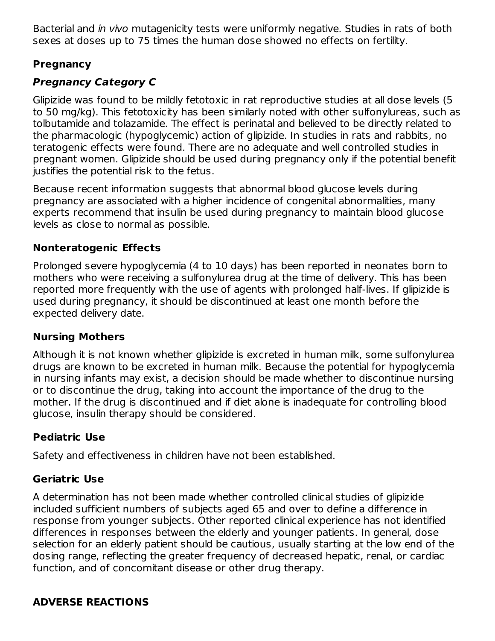Bacterial and *in vivo* mutagenicity tests were uniformly negative. Studies in rats of both sexes at doses up to 75 times the human dose showed no effects on fertility.

### **Pregnancy**

## **Pregnancy Category C**

Glipizide was found to be mildly fetotoxic in rat reproductive studies at all dose levels (5 to 50 mg/kg). This fetotoxicity has been similarly noted with other sulfonylureas, such as tolbutamide and tolazamide. The effect is perinatal and believed to be directly related to the pharmacologic (hypoglycemic) action of glipizide. In studies in rats and rabbits, no teratogenic effects were found. There are no adequate and well controlled studies in pregnant women. Glipizide should be used during pregnancy only if the potential benefit justifies the potential risk to the fetus.

Because recent information suggests that abnormal blood glucose levels during pregnancy are associated with a higher incidence of congenital abnormalities, many experts recommend that insulin be used during pregnancy to maintain blood glucose levels as close to normal as possible.

### **Nonteratogenic Effects**

Prolonged severe hypoglycemia (4 to 10 days) has been reported in neonates born to mothers who were receiving a sulfonylurea drug at the time of delivery. This has been reported more frequently with the use of agents with prolonged half-lives. If glipizide is used during pregnancy, it should be discontinued at least one month before the expected delivery date.

## **Nursing Mothers**

Although it is not known whether glipizide is excreted in human milk, some sulfonylurea drugs are known to be excreted in human milk. Because the potential for hypoglycemia in nursing infants may exist, a decision should be made whether to discontinue nursing or to discontinue the drug, taking into account the importance of the drug to the mother. If the drug is discontinued and if diet alone is inadequate for controlling blood glucose, insulin therapy should be considered.

### **Pediatric Use**

Safety and effectiveness in children have not been established.

## **Geriatric Use**

A determination has not been made whether controlled clinical studies of glipizide included sufficient numbers of subjects aged 65 and over to define a difference in response from younger subjects. Other reported clinical experience has not identified differences in responses between the elderly and younger patients. In general, dose selection for an elderly patient should be cautious, usually starting at the low end of the dosing range, reflecting the greater frequency of decreased hepatic, renal, or cardiac function, and of concomitant disease or other drug therapy.

## **ADVERSE REACTIONS**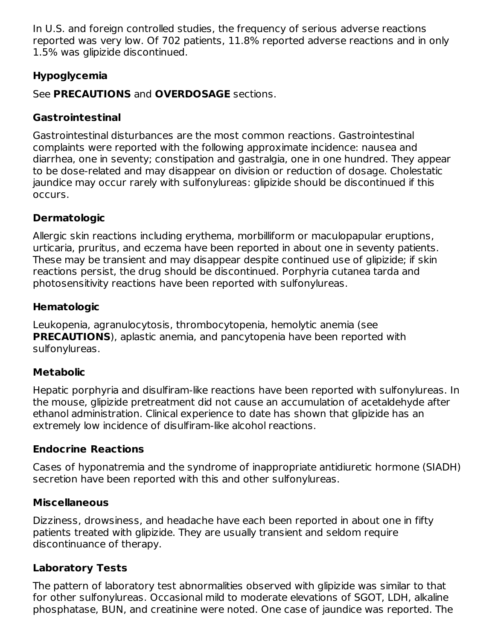In U.S. and foreign controlled studies, the frequency of serious adverse reactions reported was very low. Of 702 patients, 11.8% reported adverse reactions and in only 1.5% was glipizide discontinued.

## **Hypoglycemia**

See **PRECAUTIONS** and **OVERDOSAGE** sections.

# **Gastrointestinal**

Gastrointestinal disturbances are the most common reactions. Gastrointestinal complaints were reported with the following approximate incidence: nausea and diarrhea, one in seventy; constipation and gastralgia, one in one hundred. They appear to be dose-related and may disappear on division or reduction of dosage. Cholestatic jaundice may occur rarely with sulfonylureas: glipizide should be discontinued if this occurs.

# **Dermatologic**

Allergic skin reactions including erythema, morbilliform or maculopapular eruptions, urticaria, pruritus, and eczema have been reported in about one in seventy patients. These may be transient and may disappear despite continued use of glipizide; if skin reactions persist, the drug should be discontinued. Porphyria cutanea tarda and photosensitivity reactions have been reported with sulfonylureas.

## **Hematologic**

Leukopenia, agranulocytosis, thrombocytopenia, hemolytic anemia (see **PRECAUTIONS**), aplastic anemia, and pancytopenia have been reported with sulfonylureas.

## **Metabolic**

Hepatic porphyria and disulfiram-like reactions have been reported with sulfonylureas. In the mouse, glipizide pretreatment did not cause an accumulation of acetaldehyde after ethanol administration. Clinical experience to date has shown that glipizide has an extremely low incidence of disulfiram-like alcohol reactions.

## **Endocrine Reactions**

Cases of hyponatremia and the syndrome of inappropriate antidiuretic hormone (SIADH) secretion have been reported with this and other sulfonylureas.

## **Miscellaneous**

Dizziness, drowsiness, and headache have each been reported in about one in fifty patients treated with glipizide. They are usually transient and seldom require discontinuance of therapy.

## **Laboratory Tests**

The pattern of laboratory test abnormalities observed with glipizide was similar to that for other sulfonylureas. Occasional mild to moderate elevations of SGOT, LDH, alkaline phosphatase, BUN, and creatinine were noted. One case of jaundice was reported. The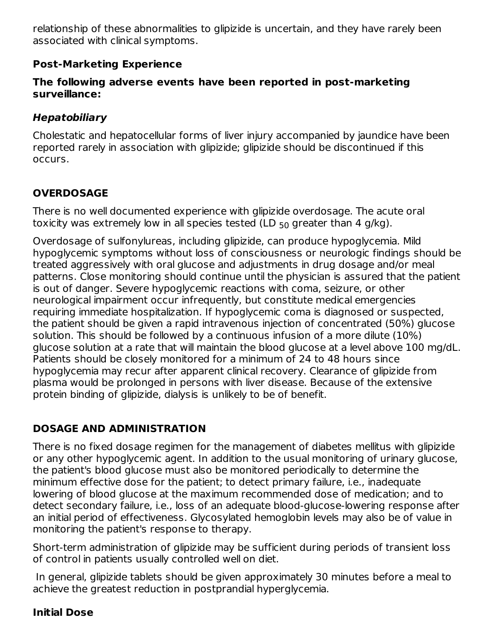relationship of these abnormalities to glipizide is uncertain, and they have rarely been associated with clinical symptoms.

### **Post-Marketing Experience**

### **The following adverse events have been reported in post-marketing surveillance:**

# **Hepatobiliary**

Cholestatic and hepatocellular forms of liver injury accompanied by jaundice have been reported rarely in association with glipizide; glipizide should be discontinued if this occurs.

## **OVERDOSAGE**

There is no well documented experience with glipizide overdosage. The acute oral toxicity was extremely low in all species tested (LD  $_{50}$  greater than 4 g/kg).

Overdosage of sulfonylureas, including glipizide, can produce hypoglycemia. Mild hypoglycemic symptoms without loss of consciousness or neurologic findings should be treated aggressively with oral glucose and adjustments in drug dosage and/or meal patterns. Close monitoring should continue until the physician is assured that the patient is out of danger. Severe hypoglycemic reactions with coma, seizure, or other neurological impairment occur infrequently, but constitute medical emergencies requiring immediate hospitalization. If hypoglycemic coma is diagnosed or suspected, the patient should be given a rapid intravenous injection of concentrated (50%) glucose solution. This should be followed by a continuous infusion of a more dilute (10%) glucose solution at a rate that will maintain the blood glucose at a level above 100 mg/dL. Patients should be closely monitored for a minimum of 24 to 48 hours since hypoglycemia may recur after apparent clinical recovery. Clearance of glipizide from plasma would be prolonged in persons with liver disease. Because of the extensive protein binding of glipizide, dialysis is unlikely to be of benefit.

# **DOSAGE AND ADMINISTRATION**

There is no fixed dosage regimen for the management of diabetes mellitus with glipizide or any other hypoglycemic agent. In addition to the usual monitoring of urinary glucose, the patient's blood glucose must also be monitored periodically to determine the minimum effective dose for the patient; to detect primary failure, i.e., inadequate lowering of blood glucose at the maximum recommended dose of medication; and to detect secondary failure, i.e., loss of an adequate blood-glucose-lowering response after an initial period of effectiveness. Glycosylated hemoglobin levels may also be of value in monitoring the patient's response to therapy.

Short-term administration of glipizide may be sufficient during periods of transient loss of control in patients usually controlled well on diet.

In general, glipizide tablets should be given approximately 30 minutes before a meal to achieve the greatest reduction in postprandial hyperglycemia.

## **Initial Dose**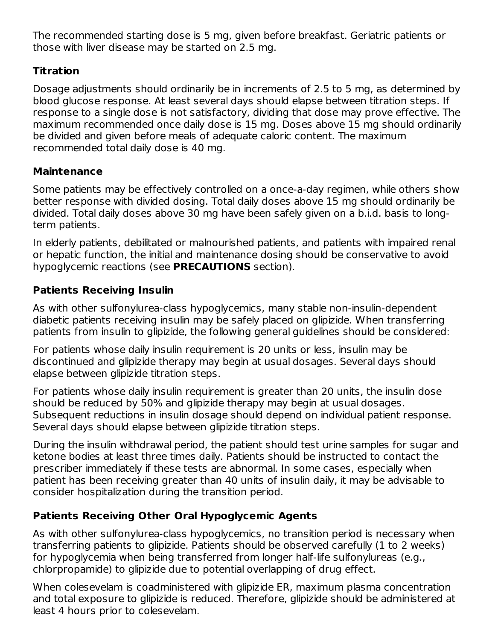The recommended starting dose is 5 mg, given before breakfast. Geriatric patients or those with liver disease may be started on 2.5 mg.

## **Titration**

Dosage adjustments should ordinarily be in increments of 2.5 to 5 mg, as determined by blood glucose response. At least several days should elapse between titration steps. If response to a single dose is not satisfactory, dividing that dose may prove effective. The maximum recommended once daily dose is 15 mg. Doses above 15 mg should ordinarily be divided and given before meals of adequate caloric content. The maximum recommended total daily dose is 40 mg.

## **Maintenance**

Some patients may be effectively controlled on a once-a-day regimen, while others show better response with divided dosing. Total daily doses above 15 mg should ordinarily be divided. Total daily doses above 30 mg have been safely given on a b.i.d. basis to longterm patients.

In elderly patients, debilitated or malnourished patients, and patients with impaired renal or hepatic function, the initial and maintenance dosing should be conservative to avoid hypoglycemic reactions (see **PRECAUTIONS** section).

## **Patients Receiving Insulin**

As with other sulfonylurea-class hypoglycemics, many stable non-insulin-dependent diabetic patients receiving insulin may be safely placed on glipizide. When transferring patients from insulin to glipizide, the following general guidelines should be considered:

For patients whose daily insulin requirement is 20 units or less, insulin may be discontinued and glipizide therapy may begin at usual dosages. Several days should elapse between glipizide titration steps.

For patients whose daily insulin requirement is greater than 20 units, the insulin dose should be reduced by 50% and glipizide therapy may begin at usual dosages. Subsequent reductions in insulin dosage should depend on individual patient response. Several days should elapse between glipizide titration steps.

During the insulin withdrawal period, the patient should test urine samples for sugar and ketone bodies at least three times daily. Patients should be instructed to contact the prescriber immediately if these tests are abnormal. In some cases, especially when patient has been receiving greater than 40 units of insulin daily, it may be advisable to consider hospitalization during the transition period.

## **Patients Receiving Other Oral Hypoglycemic Agents**

As with other sulfonylurea-class hypoglycemics, no transition period is necessary when transferring patients to glipizide. Patients should be observed carefully (1 to 2 weeks) for hypoglycemia when being transferred from longer half-life sulfonylureas (e.g., chlorpropamide) to glipizide due to potential overlapping of drug effect.

When colesevelam is coadministered with glipizide ER, maximum plasma concentration and total exposure to glipizide is reduced. Therefore, glipizide should be administered at least 4 hours prior to colesevelam.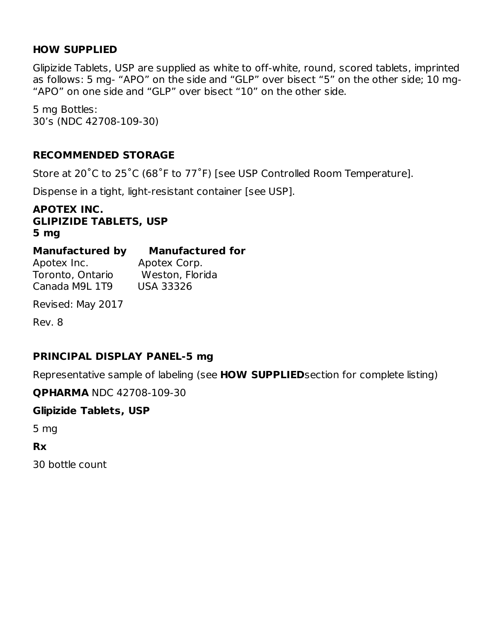### **HOW SUPPLIED**

Glipizide Tablets, USP are supplied as white to off-white, round, scored tablets, imprinted as follows: 5 mg- "APO" on the side and "GLP" over bisect "5" on the other side; 10 mg- "APO" on one side and "GLP" over bisect "10" on the other side.

5 mg Bottles: 30's (NDC 42708-109-30)

### **RECOMMENDED STORAGE**

Store at 20˚C to 25˚C (68˚F to 77˚F) [see USP Controlled Room Temperature].

Dispense in a tight, light-resistant container [see USP].

**APOTEX INC. GLIPIZIDE TABLETS, USP 5 mg**

### **Manufactured by Manufactured for**

Apotex Inc. Apotex Corp. Toronto, Ontario Weston, Florida Canada M9L 1T9 USA 33326

Revised: May 2017

Rev. 8

### **PRINCIPAL DISPLAY PANEL-5 mg**

Representative sample of labeling (see **HOW SUPPLIED**section for complete listing)

**QPHARMA** NDC 42708-109-30

#### **Glipizide Tablets, USP**

5 mg

### **Rx**

30 bottle count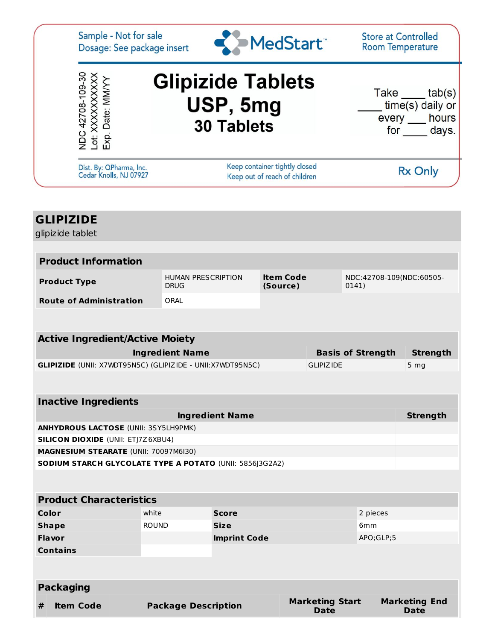|                                                   | Sample - Not for sale<br>Dosage: See package insert                                                                                                                                           |                                                           |                                                                | MedStart <sup>®</sup> |                  |                                   | <b>Store at Controlled</b><br>Room Temperature                   |
|---------------------------------------------------|-----------------------------------------------------------------------------------------------------------------------------------------------------------------------------------------------|-----------------------------------------------------------|----------------------------------------------------------------|-----------------------|------------------|-----------------------------------|------------------------------------------------------------------|
|                                                   | NDC 42708-109-30<br>Lot: XXXXXXXXX<br>Exp. Date: MM/YY                                                                                                                                        | <b>Glipizide Tablets</b><br>USP, 5mg<br><b>30 Tablets</b> |                                                                |                       |                  |                                   | Take $_t$ tab(s)<br>time(s) daily or<br>every hours<br>for days. |
|                                                   | Dist. By: QPharma, Inc.<br>Cedar Knolls, NJ 07927                                                                                                                                             |                                                           | Keep container tightly closed<br>Keep out of reach of children |                       |                  | <b>Rx Only</b>                    |                                                                  |
| <b>GLIPIZIDE</b><br>glipizide tablet              |                                                                                                                                                                                               |                                                           |                                                                |                       |                  |                                   |                                                                  |
| <b>Product Information</b><br><b>Product Type</b> |                                                                                                                                                                                               | <b>DRUG</b>                                               | <b>Item Code</b><br><b>HUMAN PRESCRIPTION</b>                  |                       |                  | NDC:42708-109(NDC:60505-<br>0141) |                                                                  |
|                                                   | <b>Route of Administration</b>                                                                                                                                                                | ORAL                                                      |                                                                | (Source)              |                  |                                   |                                                                  |
|                                                   | <b>Active Ingredient/Active Moiety</b>                                                                                                                                                        |                                                           |                                                                |                       |                  |                                   |                                                                  |
|                                                   |                                                                                                                                                                                               | <b>Ingredient Name</b>                                    |                                                                |                       |                  | <b>Basis of Strength</b>          | <b>Strength</b>                                                  |
|                                                   |                                                                                                                                                                                               |                                                           |                                                                |                       |                  |                                   |                                                                  |
|                                                   | <b>GLIPIZIDE</b> (UNII: X7WDT95N5C) (GLIPIZIDE - UNII:X7WDT95N5C)                                                                                                                             |                                                           |                                                                |                       | <b>GLIPIZIDE</b> |                                   | 5 mg                                                             |
|                                                   |                                                                                                                                                                                               |                                                           |                                                                |                       |                  |                                   |                                                                  |
|                                                   | <b>Inactive Ingredients</b>                                                                                                                                                                   |                                                           | <b>Ingredient Name</b>                                         |                       |                  |                                   | <b>Strength</b>                                                  |
|                                                   | <b>ANHYDROUS LACTOSE (UNII: 3SY5LH9PMK)</b><br><b>SILICON DIOXIDE (UNII: ETJ7Z6XBU4)</b><br>MAGNESIUM STEARATE (UNII: 70097M6I30)<br>SODIUM STARCH GLYCOLATE TYPE A POTATO (UNII: 5856J3G2A2) |                                                           |                                                                |                       |                  |                                   |                                                                  |
|                                                   |                                                                                                                                                                                               |                                                           |                                                                |                       |                  |                                   |                                                                  |
|                                                   | <b>Product Characteristics</b>                                                                                                                                                                |                                                           |                                                                |                       |                  |                                   |                                                                  |
| Color                                             |                                                                                                                                                                                               | white                                                     | <b>Score</b>                                                   |                       |                  | 2 pieces                          |                                                                  |
| <b>Shape</b><br><b>Flavor</b>                     |                                                                                                                                                                                               | <b>ROUND</b>                                              | <b>Size</b><br><b>Imprint Code</b>                             |                       |                  | 6 <sub>mm</sub><br>APO;GLP;5      |                                                                  |

**Packaging # Item Code Package Description Marketing Start Marketing Start**<br>Date **Marketing End Date**